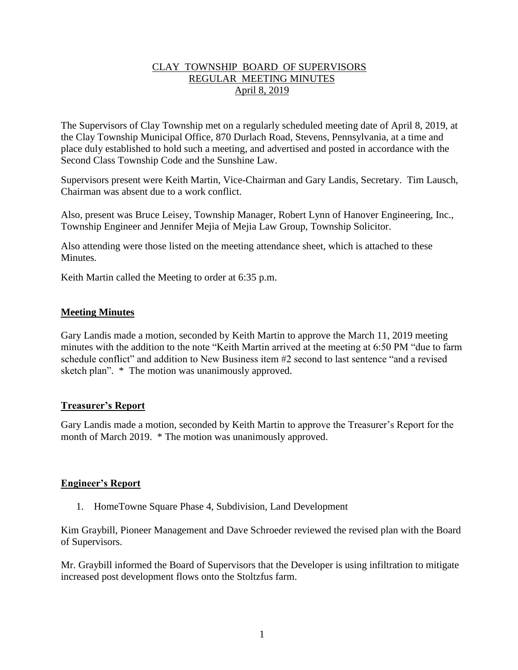# CLAY TOWNSHIP BOARD OF SUPERVISORS REGULAR MEETING MINUTES April 8, 2019

The Supervisors of Clay Township met on a regularly scheduled meeting date of April 8, 2019, at the Clay Township Municipal Office, 870 Durlach Road, Stevens, Pennsylvania, at a time and place duly established to hold such a meeting, and advertised and posted in accordance with the Second Class Township Code and the Sunshine Law.

Supervisors present were Keith Martin, Vice-Chairman and Gary Landis, Secretary. Tim Lausch, Chairman was absent due to a work conflict.

Also, present was Bruce Leisey, Township Manager, Robert Lynn of Hanover Engineering, Inc., Township Engineer and Jennifer Mejia of Mejia Law Group, Township Solicitor.

Also attending were those listed on the meeting attendance sheet, which is attached to these **Minutes** 

Keith Martin called the Meeting to order at 6:35 p.m.

## **Meeting Minutes**

Gary Landis made a motion, seconded by Keith Martin to approve the March 11, 2019 meeting minutes with the addition to the note "Keith Martin arrived at the meeting at 6:50 PM "due to farm schedule conflict" and addition to New Business item #2 second to last sentence "and a revised sketch plan". \* The motion was unanimously approved.

## **Treasurer's Report**

Gary Landis made a motion, seconded by Keith Martin to approve the Treasurer's Report for the month of March 2019. \* The motion was unanimously approved.

## **Engineer's Report**

1. HomeTowne Square Phase 4, Subdivision, Land Development

Kim Graybill, Pioneer Management and Dave Schroeder reviewed the revised plan with the Board of Supervisors.

Mr. Graybill informed the Board of Supervisors that the Developer is using infiltration to mitigate increased post development flows onto the Stoltzfus farm.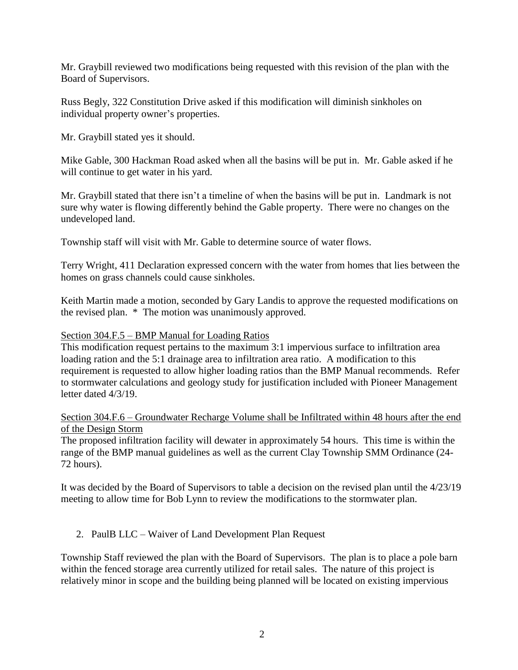Mr. Graybill reviewed two modifications being requested with this revision of the plan with the Board of Supervisors.

Russ Begly, 322 Constitution Drive asked if this modification will diminish sinkholes on individual property owner's properties.

Mr. Graybill stated yes it should.

Mike Gable, 300 Hackman Road asked when all the basins will be put in. Mr. Gable asked if he will continue to get water in his yard.

Mr. Graybill stated that there isn't a timeline of when the basins will be put in. Landmark is not sure why water is flowing differently behind the Gable property. There were no changes on the undeveloped land.

Township staff will visit with Mr. Gable to determine source of water flows.

Terry Wright, 411 Declaration expressed concern with the water from homes that lies between the homes on grass channels could cause sinkholes.

Keith Martin made a motion, seconded by Gary Landis to approve the requested modifications on the revised plan. \* The motion was unanimously approved.

## Section 304.F.5 – BMP Manual for Loading Ratios

This modification request pertains to the maximum 3:1 impervious surface to infiltration area loading ration and the 5:1 drainage area to infiltration area ratio. A modification to this requirement is requested to allow higher loading ratios than the BMP Manual recommends. Refer to stormwater calculations and geology study for justification included with Pioneer Management letter dated 4/3/19.

Section 304.F.6 – Groundwater Recharge Volume shall be Infiltrated within 48 hours after the end of the Design Storm

The proposed infiltration facility will dewater in approximately 54 hours. This time is within the range of the BMP manual guidelines as well as the current Clay Township SMM Ordinance (24- 72 hours).

It was decided by the Board of Supervisors to table a decision on the revised plan until the 4/23/19 meeting to allow time for Bob Lynn to review the modifications to the stormwater plan.

# 2. PaulB LLC – Waiver of Land Development Plan Request

Township Staff reviewed the plan with the Board of Supervisors. The plan is to place a pole barn within the fenced storage area currently utilized for retail sales. The nature of this project is relatively minor in scope and the building being planned will be located on existing impervious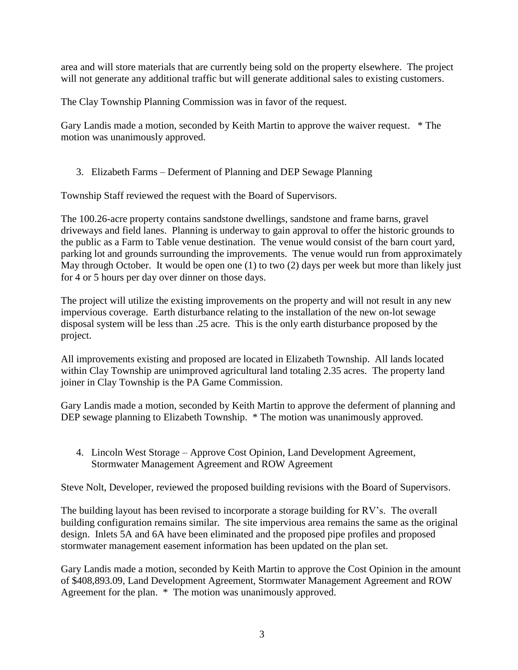area and will store materials that are currently being sold on the property elsewhere. The project will not generate any additional traffic but will generate additional sales to existing customers.

The Clay Township Planning Commission was in favor of the request.

Gary Landis made a motion, seconded by Keith Martin to approve the waiver request. \* The motion was unanimously approved.

3. Elizabeth Farms – Deferment of Planning and DEP Sewage Planning

Township Staff reviewed the request with the Board of Supervisors.

The 100.26-acre property contains sandstone dwellings, sandstone and frame barns, gravel driveways and field lanes. Planning is underway to gain approval to offer the historic grounds to the public as a Farm to Table venue destination. The venue would consist of the barn court yard, parking lot and grounds surrounding the improvements. The venue would run from approximately May through October. It would be open one (1) to two (2) days per week but more than likely just for 4 or 5 hours per day over dinner on those days.

The project will utilize the existing improvements on the property and will not result in any new impervious coverage. Earth disturbance relating to the installation of the new on-lot sewage disposal system will be less than .25 acre. This is the only earth disturbance proposed by the project.

All improvements existing and proposed are located in Elizabeth Township. All lands located within Clay Township are unimproved agricultural land totaling 2.35 acres. The property land joiner in Clay Township is the PA Game Commission.

Gary Landis made a motion, seconded by Keith Martin to approve the deferment of planning and DEP sewage planning to Elizabeth Township.  $*$  The motion was unanimously approved.

4. Lincoln West Storage – Approve Cost Opinion, Land Development Agreement, Stormwater Management Agreement and ROW Agreement

Steve Nolt, Developer, reviewed the proposed building revisions with the Board of Supervisors.

The building layout has been revised to incorporate a storage building for RV's. The overall building configuration remains similar. The site impervious area remains the same as the original design. Inlets 5A and 6A have been eliminated and the proposed pipe profiles and proposed stormwater management easement information has been updated on the plan set.

Gary Landis made a motion, seconded by Keith Martin to approve the Cost Opinion in the amount of \$408,893.09, Land Development Agreement, Stormwater Management Agreement and ROW Agreement for the plan. \* The motion was unanimously approved.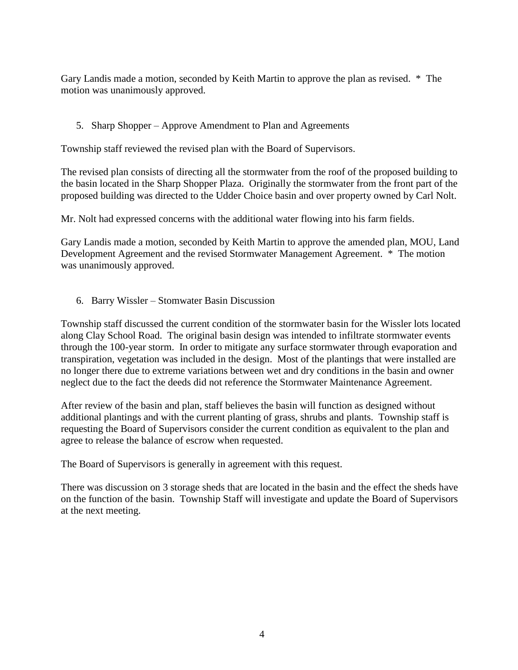Gary Landis made a motion, seconded by Keith Martin to approve the plan as revised. \* The motion was unanimously approved.

# 5. Sharp Shopper – Approve Amendment to Plan and Agreements

Township staff reviewed the revised plan with the Board of Supervisors.

The revised plan consists of directing all the stormwater from the roof of the proposed building to the basin located in the Sharp Shopper Plaza. Originally the stormwater from the front part of the proposed building was directed to the Udder Choice basin and over property owned by Carl Nolt.

Mr. Nolt had expressed concerns with the additional water flowing into his farm fields.

Gary Landis made a motion, seconded by Keith Martin to approve the amended plan, MOU, Land Development Agreement and the revised Stormwater Management Agreement. \* The motion was unanimously approved.

6. Barry Wissler – Stomwater Basin Discussion

Township staff discussed the current condition of the stormwater basin for the Wissler lots located along Clay School Road. The original basin design was intended to infiltrate stormwater events through the 100-year storm. In order to mitigate any surface stormwater through evaporation and transpiration, vegetation was included in the design. Most of the plantings that were installed are no longer there due to extreme variations between wet and dry conditions in the basin and owner neglect due to the fact the deeds did not reference the Stormwater Maintenance Agreement.

After review of the basin and plan, staff believes the basin will function as designed without additional plantings and with the current planting of grass, shrubs and plants. Township staff is requesting the Board of Supervisors consider the current condition as equivalent to the plan and agree to release the balance of escrow when requested.

The Board of Supervisors is generally in agreement with this request.

There was discussion on 3 storage sheds that are located in the basin and the effect the sheds have on the function of the basin. Township Staff will investigate and update the Board of Supervisors at the next meeting.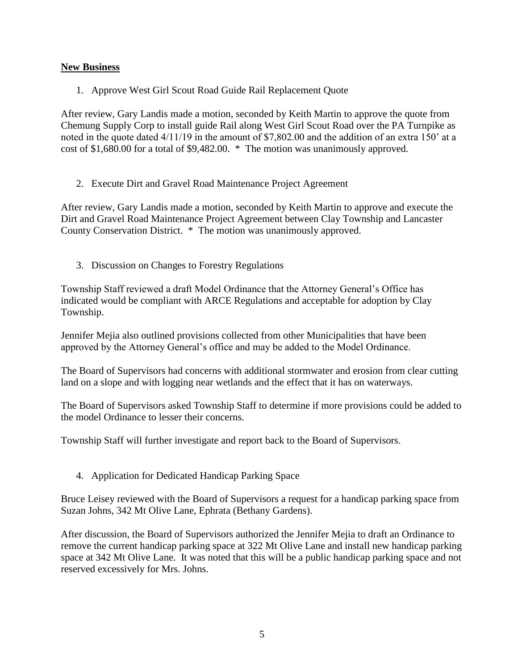# **New Business**

1. Approve West Girl Scout Road Guide Rail Replacement Quote

After review, Gary Landis made a motion, seconded by Keith Martin to approve the quote from Chemung Supply Corp to install guide Rail along West Girl Scout Road over the PA Turnpike as noted in the quote dated 4/11/19 in the amount of \$7,802.00 and the addition of an extra 150' at a cost of \$1,680.00 for a total of \$9,482.00. \* The motion was unanimously approved.

2. Execute Dirt and Gravel Road Maintenance Project Agreement

After review, Gary Landis made a motion, seconded by Keith Martin to approve and execute the Dirt and Gravel Road Maintenance Project Agreement between Clay Township and Lancaster County Conservation District. \* The motion was unanimously approved.

3. Discussion on Changes to Forestry Regulations

Township Staff reviewed a draft Model Ordinance that the Attorney General's Office has indicated would be compliant with ARCE Regulations and acceptable for adoption by Clay Township.

Jennifer Mejia also outlined provisions collected from other Municipalities that have been approved by the Attorney General's office and may be added to the Model Ordinance.

The Board of Supervisors had concerns with additional stormwater and erosion from clear cutting land on a slope and with logging near wetlands and the effect that it has on waterways.

The Board of Supervisors asked Township Staff to determine if more provisions could be added to the model Ordinance to lesser their concerns.

Township Staff will further investigate and report back to the Board of Supervisors.

4. Application for Dedicated Handicap Parking Space

Bruce Leisey reviewed with the Board of Supervisors a request for a handicap parking space from Suzan Johns, 342 Mt Olive Lane, Ephrata (Bethany Gardens).

After discussion, the Board of Supervisors authorized the Jennifer Mejia to draft an Ordinance to remove the current handicap parking space at 322 Mt Olive Lane and install new handicap parking space at 342 Mt Olive Lane. It was noted that this will be a public handicap parking space and not reserved excessively for Mrs. Johns.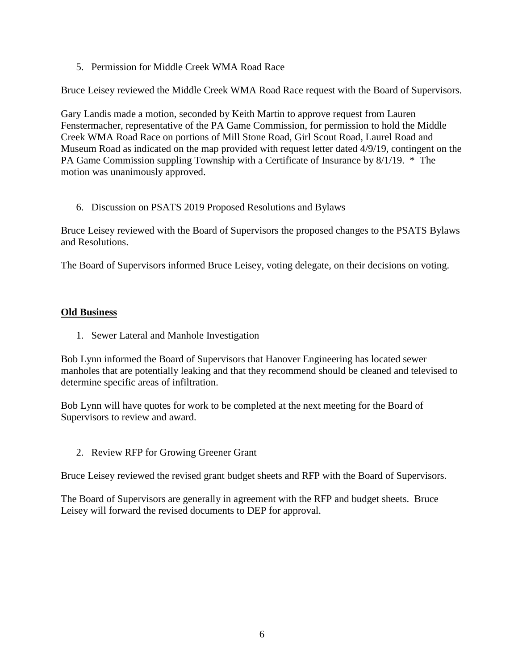5. Permission for Middle Creek WMA Road Race

Bruce Leisey reviewed the Middle Creek WMA Road Race request with the Board of Supervisors.

Gary Landis made a motion, seconded by Keith Martin to approve request from Lauren Fenstermacher, representative of the PA Game Commission, for permission to hold the Middle Creek WMA Road Race on portions of Mill Stone Road, Girl Scout Road, Laurel Road and Museum Road as indicated on the map provided with request letter dated 4/9/19, contingent on the PA Game Commission suppling Township with a Certificate of Insurance by 8/1/19. \* The motion was unanimously approved.

6. Discussion on PSATS 2019 Proposed Resolutions and Bylaws

Bruce Leisey reviewed with the Board of Supervisors the proposed changes to the PSATS Bylaws and Resolutions.

The Board of Supervisors informed Bruce Leisey, voting delegate, on their decisions on voting.

# **Old Business**

1. Sewer Lateral and Manhole Investigation

Bob Lynn informed the Board of Supervisors that Hanover Engineering has located sewer manholes that are potentially leaking and that they recommend should be cleaned and televised to determine specific areas of infiltration.

Bob Lynn will have quotes for work to be completed at the next meeting for the Board of Supervisors to review and award.

2. Review RFP for Growing Greener Grant

Bruce Leisey reviewed the revised grant budget sheets and RFP with the Board of Supervisors.

The Board of Supervisors are generally in agreement with the RFP and budget sheets. Bruce Leisey will forward the revised documents to DEP for approval.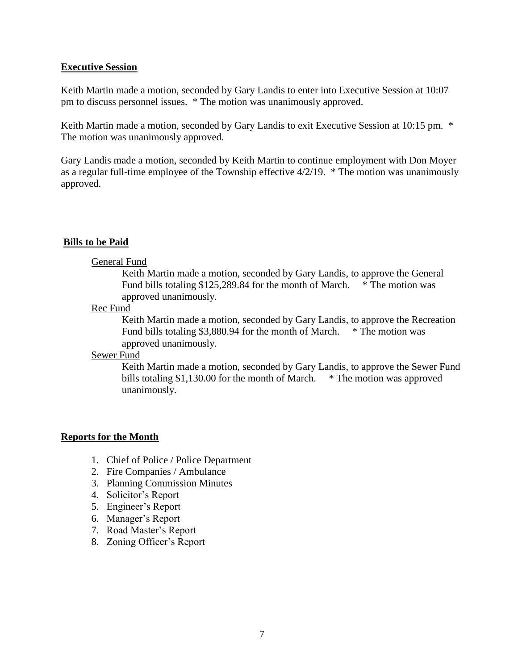#### **Executive Session**

Keith Martin made a motion, seconded by Gary Landis to enter into Executive Session at 10:07 pm to discuss personnel issues. \* The motion was unanimously approved.

Keith Martin made a motion, seconded by Gary Landis to exit Executive Session at 10:15 pm. \* The motion was unanimously approved.

Gary Landis made a motion, seconded by Keith Martin to continue employment with Don Moyer as a regular full-time employee of the Township effective 4/2/19. \* The motion was unanimously approved.

## **Bills to be Paid**

#### General Fund

Keith Martin made a motion, seconded by Gary Landis, to approve the General Fund bills totaling \$125,289.84 for the month of March. \* The motion was approved unanimously.

#### Rec Fund

Keith Martin made a motion, seconded by Gary Landis, to approve the Recreation Fund bills totaling \$3,880.94 for the month of March. \* The motion was approved unanimously.

#### Sewer Fund

Keith Martin made a motion, seconded by Gary Landis, to approve the Sewer Fund bills totaling \$1,130.00 for the month of March. \* The motion was approved unanimously.

## **Reports for the Month**

- 1. Chief of Police / Police Department
- 2. Fire Companies / Ambulance
- 3. Planning Commission Minutes
- 4. Solicitor's Report
- 5. Engineer's Report
- 6. Manager's Report
- 7. Road Master's Report
- 8. Zoning Officer's Report